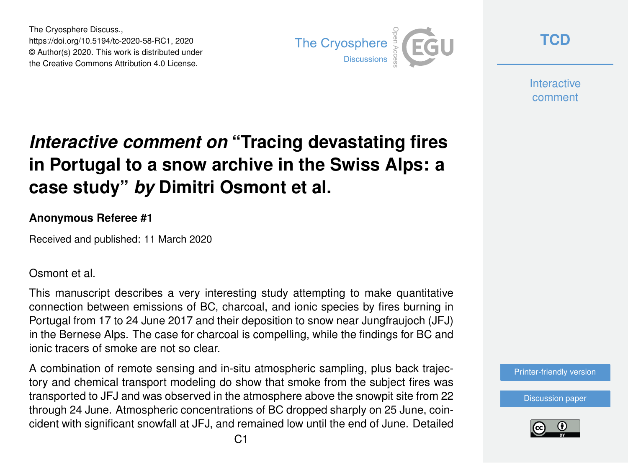The Cryosphere Discuss., https://doi.org/10.5194/tc-2020-58-RC1, 2020 © Author(s) 2020. This work is distributed under the Creative Commons Attribution 4.0 License.



**[TCD](https://www.the-cryosphere-discuss.net/)**

**Interactive** comment

# *Interactive comment on* **"Tracing devastating fires in Portugal to a snow archive in the Swiss Alps: a case study"** *by* **Dimitri Osmont et al.**

#### **Anonymous Referee #1**

Received and published: 11 March 2020

Osmont et al.

This manuscript describes a very interesting study attempting to make quantitative connection between emissions of BC, charcoal, and ionic species by fires burning in Portugal from 17 to 24 June 2017 and their deposition to snow near Jungfraujoch (JFJ) in the Bernese Alps. The case for charcoal is compelling, while the findings for BC and ionic tracers of smoke are not so clear.

A combination of remote sensing and in-situ atmospheric sampling, plus back trajectory and chemical transport modeling do show that smoke from the subject fires was transported to JFJ and was observed in the atmosphere above the snowpit site from 22 through 24 June. Atmospheric concentrations of BC dropped sharply on 25 June, coincident with significant snowfall at JFJ, and remained low until the end of June. Detailed

[Printer-friendly version](https://www.the-cryosphere-discuss.net/tc-2020-58/tc-2020-58-RC1-print.pdf)

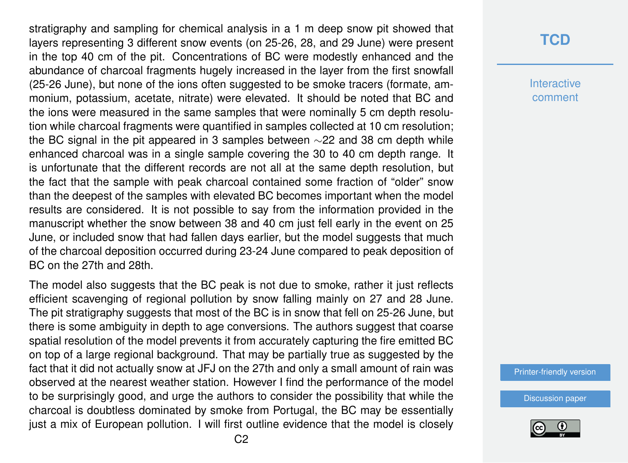stratigraphy and sampling for chemical analysis in a 1 m deep snow pit showed that layers representing 3 different snow events (on 25-26, 28, and 29 June) were present in the top 40 cm of the pit. Concentrations of BC were modestly enhanced and the abundance of charcoal fragments hugely increased in the layer from the first snowfall (25-26 June), but none of the ions often suggested to be smoke tracers (formate, ammonium, potassium, acetate, nitrate) were elevated. It should be noted that BC and the ions were measured in the same samples that were nominally 5 cm depth resolution while charcoal fragments were quantified in samples collected at 10 cm resolution; the BC signal in the pit appeared in 3 samples between ∼22 and 38 cm depth while enhanced charcoal was in a single sample covering the 30 to 40 cm depth range. It is unfortunate that the different records are not all at the same depth resolution, but the fact that the sample with peak charcoal contained some fraction of "older" snow than the deepest of the samples with elevated BC becomes important when the model results are considered. It is not possible to say from the information provided in the manuscript whether the snow between 38 and 40 cm just fell early in the event on 25 June, or included snow that had fallen days earlier, but the model suggests that much of the charcoal deposition occurred during 23-24 June compared to peak deposition of BC on the 27th and 28th.

The model also suggests that the BC peak is not due to smoke, rather it just reflects efficient scavenging of regional pollution by snow falling mainly on 27 and 28 June. The pit stratigraphy suggests that most of the BC is in snow that fell on 25-26 June, but there is some ambiguity in depth to age conversions. The authors suggest that coarse spatial resolution of the model prevents it from accurately capturing the fire emitted BC on top of a large regional background. That may be partially true as suggested by the fact that it did not actually snow at JFJ on the 27th and only a small amount of rain was observed at the nearest weather station. However I find the performance of the model to be surprisingly good, and urge the authors to consider the possibility that while the charcoal is doubtless dominated by smoke from Portugal, the BC may be essentially just a mix of European pollution. I will first outline evidence that the model is closely

### **[TCD](https://www.the-cryosphere-discuss.net/)**

**Interactive** comment

[Printer-friendly version](https://www.the-cryosphere-discuss.net/tc-2020-58/tc-2020-58-RC1-print.pdf)

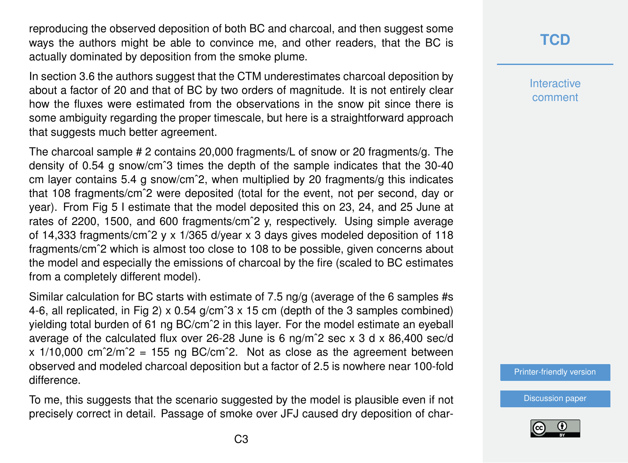reproducing the observed deposition of both BC and charcoal, and then suggest some ways the authors might be able to convince me, and other readers, that the BC is actually dominated by deposition from the smoke plume.

In section 3.6 the authors suggest that the CTM underestimates charcoal deposition by about a factor of 20 and that of BC by two orders of magnitude. It is not entirely clear how the fluxes were estimated from the observations in the snow pit since there is some ambiguity regarding the proper timescale, but here is a straightforward approach that suggests much better agreement.

The charcoal sample # 2 contains 20,000 fragments/L of snow or 20 fragments/g. The density of 0.54 g snow/cmˆ3 times the depth of the sample indicates that the 30-40 cm layer contains 5.4 g snow/cmˆ2, when multiplied by 20 fragments/g this indicates that 108 fragments/cmˆ2 were deposited (total for the event, not per second, day or year). From Fig 5 I estimate that the model deposited this on 23, 24, and 25 June at rates of 2200, 1500, and 600 fragments/cmˆ2 y, respectively. Using simple average of 14,333 fragments/cmˆ2 y x 1/365 d/year x 3 days gives modeled deposition of 118 fragments/cmˆ2 which is almost too close to 108 to be possible, given concerns about the model and especially the emissions of charcoal by the fire (scaled to BC estimates from a completely different model).

Similar calculation for BC starts with estimate of 7.5 ng/g (average of the 6 samples #s 4-6, all replicated, in Fig 2) x 0.54 g/cmˆ3 x 15 cm (depth of the 3 samples combined) yielding total burden of 61 ng BC/cmˆ2 in this layer. For the model estimate an eyeball average of the calculated flux over 26-28 June is 6 ng/mˆ2 sec x 3 d x 86,400 sec/d  $x$  1/10,000 cm<sup> $2/m^2$ </sup> = 155 ng BC/cm<sup> $2$ </sup>. Not as close as the agreement between observed and modeled charcoal deposition but a factor of 2.5 is nowhere near 100-fold difference.

To me, this suggests that the scenario suggested by the model is plausible even if not precisely correct in detail. Passage of smoke over JFJ caused dry deposition of char-

# **[TCD](https://www.the-cryosphere-discuss.net/)**

**Interactive** comment

[Printer-friendly version](https://www.the-cryosphere-discuss.net/tc-2020-58/tc-2020-58-RC1-print.pdf)

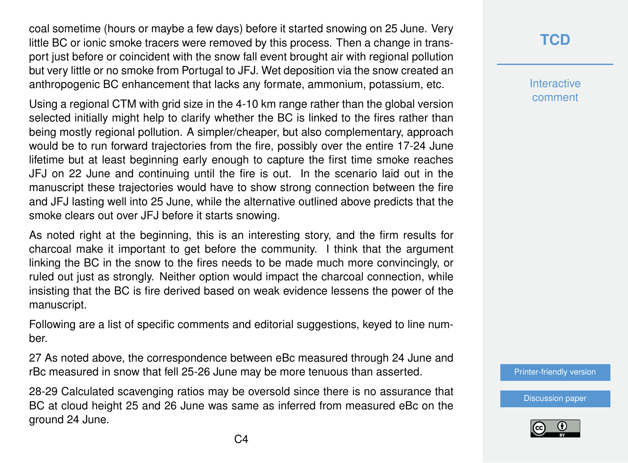coal sometime (hours or maybe a few days) before it started snowing on 25 June. Very little BC or ionic smoke tracers were removed by this process. Then a change in transport just before or coincident with the snow fall event brought air with regional pollution but very little or no smoke from Portugal to JFJ. Wet deposition via the snow created an anthropogenic BC enhancement that lacks any formate, ammonium, potassium, etc.

Using a regional CTM with grid size in the 4-10 km range rather than the global version selected initially might help to clarify whether the BC is linked to the fires rather than being mostly regional pollution. A simpler/cheaper, but also complementary, approach would be to run forward trajectories from the fire, possibly over the entire 17-24 June lifetime but at least beginning early enough to capture the first time smoke reaches JFJ on 22 June and continuing until the fire is out. In the scenario laid out in the manuscript these trajectories would have to show strong connection between the fire and JFJ lasting well into 25 June, while the alternative outlined above predicts that the smoke clears out over JFJ before it starts snowing.

As noted right at the beginning, this is an interesting story, and the firm results for charcoal make it important to get before the community. I think that the argument linking the BC in the snow to the fires needs to be made much more convincingly, or ruled out just as strongly. Neither option would impact the charcoal connection, while insisting that the BC is fire derived based on weak evidence lessens the power of the manuscript.

Following are a list of specific comments and editorial suggestions, keyed to line number.

27 As noted above, the correspondence between eBc measured through 24 June and rBc measured in snow that fell 25-26 June may be more tenuous than asserted.

28-29 Calculated scavenging ratios may be oversold since there is no assurance that BC at cloud height 25 and 26 June was same as inferred from measured eBc on the ground 24 June.

## **[TCD](https://www.the-cryosphere-discuss.net/)**

**Interactive** comment

[Printer-friendly version](https://www.the-cryosphere-discuss.net/tc-2020-58/tc-2020-58-RC1-print.pdf)

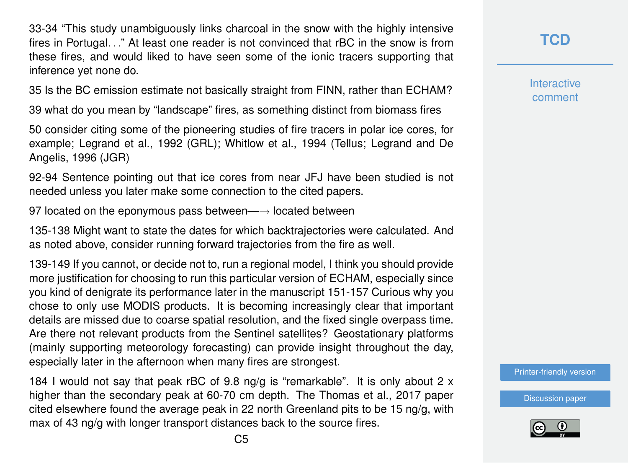33-34 "This study unambiguously links charcoal in the snow with the highly intensive fires in Portugal. . ." At least one reader is not convinced that rBC in the snow is from these fires, and would liked to have seen some of the ionic tracers supporting that inference yet none do.

35 Is the BC emission estimate not basically straight from FINN, rather than ECHAM?

39 what do you mean by "landscape" fires, as something distinct from biomass fires

50 consider citing some of the pioneering studies of fire tracers in polar ice cores, for example; Legrand et al., 1992 (GRL); Whitlow et al., 1994 (Tellus; Legrand and De Angelis, 1996 (JGR)

92-94 Sentence pointing out that ice cores from near JFJ have been studied is not needed unless you later make some connection to the cited papers.

97 located on the eponymous pass between—→ located between

135-138 Might want to state the dates for which backtrajectories were calculated. And as noted above, consider running forward trajectories from the fire as well.

139-149 If you cannot, or decide not to, run a regional model, I think you should provide more justification for choosing to run this particular version of ECHAM, especially since you kind of denigrate its performance later in the manuscript 151-157 Curious why you chose to only use MODIS products. It is becoming increasingly clear that important details are missed due to coarse spatial resolution, and the fixed single overpass time. Are there not relevant products from the Sentinel satellites? Geostationary platforms (mainly supporting meteorology forecasting) can provide insight throughout the day, especially later in the afternoon when many fires are strongest.

184 I would not say that peak rBC of 9.8 ng/g is "remarkable". It is only about 2  $\times$ higher than the secondary peak at 60-70 cm depth. The Thomas et al., 2017 paper cited elsewhere found the average peak in 22 north Greenland pits to be 15 ng/g, with max of 43 ng/g with longer transport distances back to the source fires.

**[TCD](https://www.the-cryosphere-discuss.net/)**

**Interactive** comment

[Printer-friendly version](https://www.the-cryosphere-discuss.net/tc-2020-58/tc-2020-58-RC1-print.pdf)